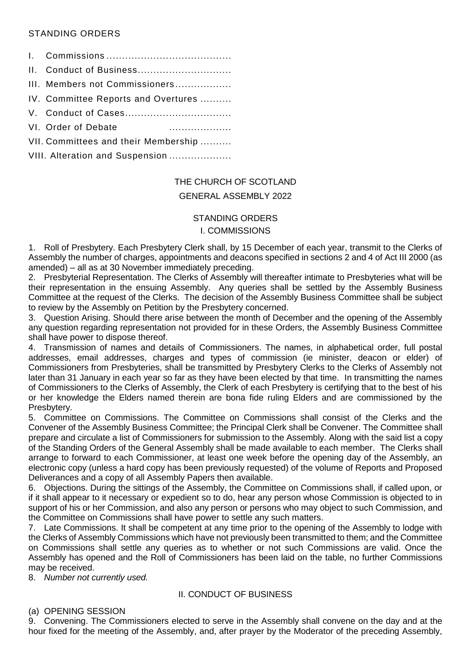# STANDING ORDERS

|                                 | III. Members not Commissioners       |
|---------------------------------|--------------------------------------|
|                                 | IV. Committee Reports and Overtures  |
|                                 |                                      |
|                                 | VI. Order of Debate                  |
|                                 | VII. Committees and their Membership |
| VIII. Alteration and Suspension |                                      |

# THE CHURCH OF SCOTLAND

# GENERAL ASSEMBLY 2022

## STANDING ORDERS

#### I. COMMISSIONS

1. Roll of Presbytery. Each Presbytery Clerk shall, by 15 December of each year, transmit to the Clerks of Assembly the number of charges, appointments and deacons specified in sections 2 and 4 of Act III 2000 (as amended) – all as at 30 November immediately preceding.

2. Presbyterial Representation. The Clerks of Assembly will thereafter intimate to Presbyteries what will be their representation in the ensuing Assembly. Any queries shall be settled by the Assembly Business Committee at the request of the Clerks. The decision of the Assembly Business Committee shall be subject to review by the Assembly on Petition by the Presbytery concerned.

3. Question Arising. Should there arise between the month of December and the opening of the Assembly any question regarding representation not provided for in these Orders, the Assembly Business Committee shall have power to dispose thereof.

4. Transmission of names and details of Commissioners. The names, in alphabetical order, full postal addresses, email addresses, charges and types of commission (ie minister, deacon or elder) of Commissioners from Presbyteries, shall be transmitted by Presbytery Clerks to the Clerks of Assembly not later than 31 January in each year so far as they have been elected by that time. In transmitting the names of Commissioners to the Clerks of Assembly, the Clerk of each Presbytery is certifying that to the best of his or her knowledge the Elders named therein are bona fide ruling Elders and are commissioned by the Presbytery.

5. Committee on Commissions. The Committee on Commissions shall consist of the Clerks and the Convener of the Assembly Business Committee; the Principal Clerk shall be Convener. The Committee shall prepare and circulate a list of Commissioners for submission to the Assembly. Along with the said list a copy of the Standing Orders of the General Assembly shall be made available to each member. The Clerks shall arrange to forward to each Commissioner, at least one week before the opening day of the Assembly, an electronic copy (unless a hard copy has been previously requested) of the volume of Reports and Proposed Deliverances and a copy of all Assembly Papers then available.

6. Objections. During the sittings of the Assembly, the Committee on Commissions shall, if called upon, or if it shall appear to it necessary or expedient so to do, hear any person whose Commission is objected to in support of his or her Commission, and also any person or persons who may object to such Commission, and the Committee on Commissions shall have power to settle any such matters.

7. Late Commissions. It shall be competent at any time prior to the opening of the Assembly to lodge with the Clerks of Assembly Commissions which have not previously been transmitted to them; and the Committee on Commissions shall settle any queries as to whether or not such Commissions are valid. Once the Assembly has opened and the Roll of Commissioners has been laid on the table, no further Commissions may be received.

8. *Number not currently used.*

# II. CONDUCT OF BUSINESS

#### (a) OPENING SESSION

9. Convening. The Commissioners elected to serve in the Assembly shall convene on the day and at the hour fixed for the meeting of the Assembly, and, after prayer by the Moderator of the preceding Assembly,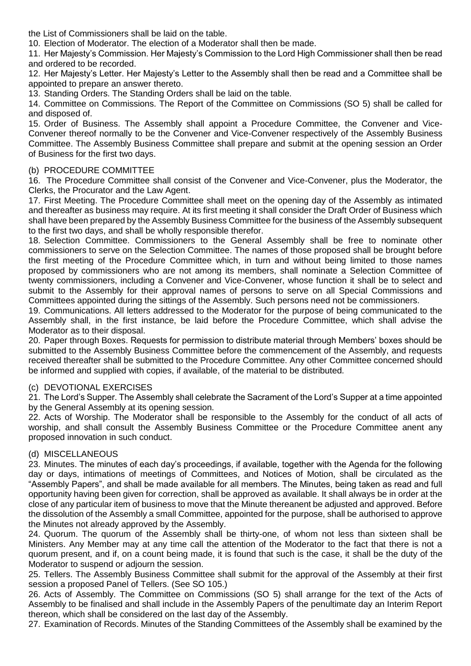the List of Commissioners shall be laid on the table.

10. Election of Moderator. The election of a Moderator shall then be made.

11. Her Majesty's Commission. Her Majesty's Commission to the Lord High Commissioner shall then be read and ordered to be recorded.

12. Her Majesty's Letter. Her Majesty's Letter to the Assembly shall then be read and a Committee shall be appointed to prepare an answer thereto.

13. Standing Orders. The Standing Orders shall be laid on the table.

14. Committee on Commissions. The Report of the Committee on Commissions (SO 5) shall be called for and disposed of.

15. Order of Business. The Assembly shall appoint a Procedure Committee, the Convener and Vice-Convener thereof normally to be the Convener and Vice-Convener respectively of the Assembly Business Committee. The Assembly Business Committee shall prepare and submit at the opening session an Order of Business for the first two days.

## (b) PROCEDURE COMMITTEE

16. The Procedure Committee shall consist of the Convener and Vice-Convener, plus the Moderator, the Clerks, the Procurator and the Law Agent.

17. First Meeting. The Procedure Committee shall meet on the opening day of the Assembly as intimated and thereafter as business may require. At its first meeting it shall consider the Draft Order of Business which shall have been prepared by the Assembly Business Committee for the business of the Assembly subsequent to the first two days, and shall be wholly responsible therefor.

18. Selection Committee. Commissioners to the General Assembly shall be free to nominate other commissioners to serve on the Selection Committee. The names of those proposed shall be brought before the first meeting of the Procedure Committee which, in turn and without being limited to those names proposed by commissioners who are not among its members, shall nominate a Selection Committee of twenty commissioners, including a Convener and Vice-Convener, whose function it shall be to select and submit to the Assembly for their approval names of persons to serve on all Special Commissions and Committees appointed during the sittings of the Assembly. Such persons need not be commissioners.

19. Communications. All letters addressed to the Moderator for the purpose of being communicated to the Assembly shall, in the first instance, be laid before the Procedure Committee, which shall advise the Moderator as to their disposal.

20. Paper through Boxes. Requests for permission to distribute material through Members' boxes should be submitted to the Assembly Business Committee before the commencement of the Assembly, and requests received thereafter shall be submitted to the Procedure Committee. Any other Committee concerned should be informed and supplied with copies, if available, of the material to be distributed.

#### (c) DEVOTIONAL EXERCISES

21. The Lord's Supper. The Assembly shall celebrate the Sacrament of the Lord's Supper at a time appointed by the General Assembly at its opening session.

22. Acts of Worship. The Moderator shall be responsible to the Assembly for the conduct of all acts of worship, and shall consult the Assembly Business Committee or the Procedure Committee anent any proposed innovation in such conduct.

#### (d) MISCELLANEOUS

23. Minutes. The minutes of each day's proceedings, if available, together with the Agenda for the following day or days, intimations of meetings of Committees, and Notices of Motion, shall be circulated as the "Assembly Papers", and shall be made available for all members. The Minutes, being taken as read and full opportunity having been given for correction, shall be approved as available. It shall always be in order at the close of any particular item of business to move that the Minute thereanent be adjusted and approved. Before the dissolution of the Assembly a small Committee, appointed for the purpose, shall be authorised to approve the Minutes not already approved by the Assembly.

24. Quorum. The quorum of the Assembly shall be thirty-one, of whom not less than sixteen shall be Ministers. Any Member may at any time call the attention of the Moderator to the fact that there is not a quorum present, and if, on a count being made, it is found that such is the case, it shall be the duty of the Moderator to suspend or adjourn the session.

25. Tellers. The Assembly Business Committee shall submit for the approval of the Assembly at their first session a proposed Panel of Tellers. (See SO 105.)

26. Acts of Assembly. The Committee on Commissions (SO 5) shall arrange for the text of the Acts of Assembly to be finalised and shall include in the Assembly Papers of the penultimate day an Interim Report thereon, which shall be considered on the last day of the Assembly.

27. Examination of Records. Minutes of the Standing Committees of the Assembly shall be examined by the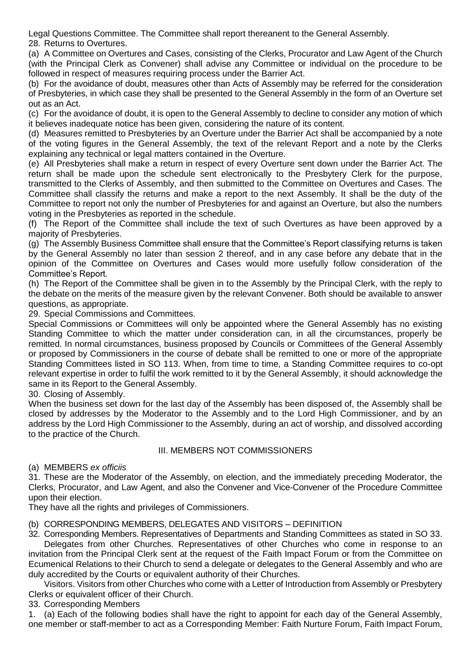Legal Questions Committee. The Committee shall report thereanent to the General Assembly. 28. Returns to Overtures.

(a) A Committee on Overtures and Cases, consisting of the Clerks, Procurator and Law Agent of the Church (with the Principal Clerk as Convener) shall advise any Committee or individual on the procedure to be followed in respect of measures requiring process under the Barrier Act.

(b) For the avoidance of doubt, measures other than Acts of Assembly may be referred for the consideration of Presbyteries, in which case they shall be presented to the General Assembly in the form of an Overture set out as an Act.

(c) For the avoidance of doubt, it is open to the General Assembly to decline to consider any motion of which it believes inadequate notice has been given, considering the nature of its content.

(d) Measures remitted to Presbyteries by an Overture under the Barrier Act shall be accompanied by a note of the voting figures in the General Assembly, the text of the relevant Report and a note by the Clerks explaining any technical or legal matters contained in the Overture.

(e) All Presbyteries shall make a return in respect of every Overture sent down under the Barrier Act. The return shall be made upon the schedule sent electronically to the Presbytery Clerk for the purpose, transmitted to the Clerks of Assembly, and then submitted to the Committee on Overtures and Cases. The Committee shall classify the returns and make a report to the next Assembly. It shall be the duty of the Committee to report not only the number of Presbyteries for and against an Overture, but also the numbers voting in the Presbyteries as reported in the schedule.

(f) The Report of the Committee shall include the text of such Overtures as have been approved by a majority of Presbyteries.

(g) The Assembly Business Committee shall ensure that the Committee's Report classifying returns is taken by the General Assembly no later than session 2 thereof, and in any case before any debate that in the opinion of the Committee on Overtures and Cases would more usefully follow consideration of the Committee's Report.

(h) The Report of the Committee shall be given in to the Assembly by the Principal Clerk, with the reply to the debate on the merits of the measure given by the relevant Convener. Both should be available to answer questions, as appropriate.

29. Special Commissions and Committees.

Special Commissions or Committees will only be appointed where the General Assembly has no existing Standing Committee to which the matter under consideration can, in all the circumstances, properly be remitted. In normal circumstances, business proposed by Councils or Committees of the General Assembly or proposed by Commissioners in the course of debate shall be remitted to one or more of the appropriate Standing Committees listed in SO 113. When, from time to time, a Standing Committee requires to co-opt relevant expertise in order to fulfil the work remitted to it by the General Assembly, it should acknowledge the same in its Report to the General Assembly.

30. Closing of Assembly.

When the business set down for the last day of the Assembly has been disposed of, the Assembly shall be closed by addresses by the Moderator to the Assembly and to the Lord High Commissioner, and by an address by the Lord High Commissioner to the Assembly, during an act of worship, and dissolved according to the practice of the Church.

#### III. MEMBERS NOT COMMISSIONERS

(a) MEMBERS *ex officiis*

31. These are the Moderator of the Assembly, on election, and the immediately preceding Moderator, the Clerks, Procurator, and Law Agent, and also the Convener and Vice-Convener of the Procedure Committee upon their election.

They have all the rights and privileges of Commissioners.

# (b) CORRESPONDING MEMBERS, DELEGATES AND VISITORS – DEFINITION

32. Corresponding Members. Representatives of Departments and Standing Committees as stated in SO 33. Delegates from other Churches. Representatives of other Churches who come in response to an

invitation from the Principal Clerk sent at the request of the Faith Impact Forum or from the Committee on Ecumenical Relations to their Church to send a delegate or delegates to the General Assembly and who are duly accredited by the Courts or equivalent authority of their Churches.

Visitors. Visitors from other Churches who come with a Letter of Introduction from Assembly or Presbytery Clerks or equivalent officer of their Church.

33. Corresponding Members

1. (a) Each of the following bodies shall have the right to appoint for each day of the General Assembly, one member or staff-member to act as a Corresponding Member: Faith Nurture Forum, Faith Impact Forum,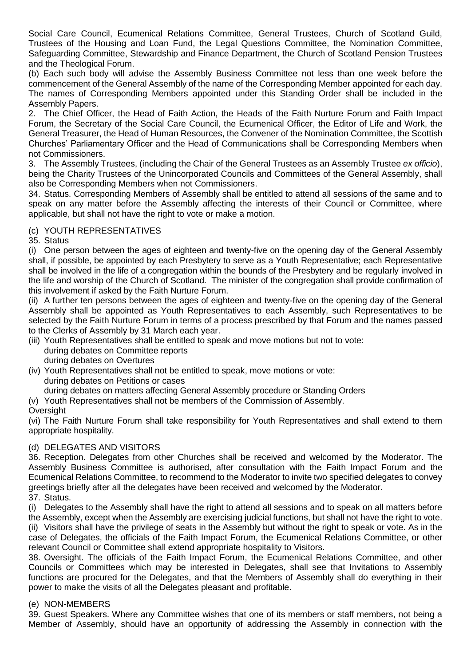Social Care Council, Ecumenical Relations Committee, General Trustees, Church of Scotland Guild, Trustees of the Housing and Loan Fund, the Legal Questions Committee, the Nomination Committee, Safeguarding Committee, Stewardship and Finance Department, the Church of Scotland Pension Trustees and the Theological Forum.

(b) Each such body will advise the Assembly Business Committee not less than one week before the commencement of the General Assembly of the name of the Corresponding Member appointed for each day. The names of Corresponding Members appointed under this Standing Order shall be included in the Assembly Papers.

2. The Chief Officer, the Head of Faith Action, the Heads of the Faith Nurture Forum and Faith Impact Forum, the Secretary of the Social Care Council, the Ecumenical Officer, the Editor of Life and Work, the General Treasurer, the Head of Human Resources, the Convener of the Nomination Committee, the Scottish Churches' Parliamentary Officer and the Head of Communications shall be Corresponding Members when not Commissioners.

3. The Assembly Trustees, (including the Chair of the General Trustees as an Assembly Trustee *ex officio*), being the Charity Trustees of the Unincorporated Councils and Committees of the General Assembly, shall also be Corresponding Members when not Commissioners.

34. Status. Corresponding Members of Assembly shall be entitled to attend all sessions of the same and to speak on any matter before the Assembly affecting the interests of their Council or Committee, where applicable, but shall not have the right to vote or make a motion.

# (c) YOUTH REPRESENTATIVES

35. Status

(i) One person between the ages of eighteen and twenty-five on the opening day of the General Assembly shall, if possible, be appointed by each Presbytery to serve as a Youth Representative; each Representative shall be involved in the life of a congregation within the bounds of the Presbytery and be regularly involved in the life and worship of the Church of Scotland. The minister of the congregation shall provide confirmation of this involvement if asked by the Faith Nurture Forum.

(ii) A further ten persons between the ages of eighteen and twenty-five on the opening day of the General Assembly shall be appointed as Youth Representatives to each Assembly, such Representatives to be selected by the Faith Nurture Forum in terms of a process prescribed by that Forum and the names passed to the Clerks of Assembly by 31 March each year.

- (iii) Youth Representatives shall be entitled to speak and move motions but not to vote: during debates on Committee reports during debates on Overtures
- (iv) Youth Representatives shall not be entitled to speak, move motions or vote: during debates on Petitions or cases
	- during debates on matters affecting General Assembly procedure or Standing Orders
- (v) Youth Representatives shall not be members of the Commission of Assembly.

# **Oversight**

(vi) The Faith Nurture Forum shall take responsibility for Youth Representatives and shall extend to them appropriate hospitality.

# (d) DELEGATES AND VISITORS

36. Reception. Delegates from other Churches shall be received and welcomed by the Moderator. The Assembly Business Committee is authorised, after consultation with the Faith Impact Forum and the Ecumenical Relations Committee, to recommend to the Moderator to invite two specified delegates to convey greetings briefly after all the delegates have been received and welcomed by the Moderator. 37. Status.

(i) Delegates to the Assembly shall have the right to attend all sessions and to speak on all matters before the Assembly, except when the Assembly are exercising judicial functions, but shall not have the right to vote. (ii) Visitors shall have the privilege of seats in the Assembly but without the right to speak or vote. As in the case of Delegates, the officials of the Faith Impact Forum, the Ecumenical Relations Committee, or other relevant Council or Committee shall extend appropriate hospitality to Visitors.

38. Oversight. The officials of the Faith Impact Forum, the Ecumenical Relations Committee, and other Councils or Committees which may be interested in Delegates, shall see that Invitations to Assembly functions are procured for the Delegates, and that the Members of Assembly shall do everything in their power to make the visits of all the Delegates pleasant and profitable.

# (e) NON-MEMBERS

39. Guest Speakers. Where any Committee wishes that one of its members or staff members, not being a Member of Assembly, should have an opportunity of addressing the Assembly in connection with the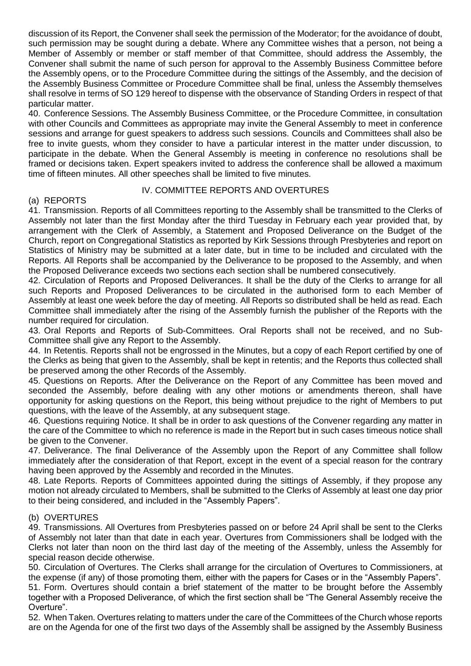discussion of its Report, the Convener shall seek the permission of the Moderator; for the avoidance of doubt, such permission may be sought during a debate. Where any Committee wishes that a person, not being a Member of Assembly or member or staff member of that Committee, should address the Assembly, the Convener shall submit the name of such person for approval to the Assembly Business Committee before the Assembly opens, or to the Procedure Committee during the sittings of the Assembly, and the decision of the Assembly Business Committee or Procedure Committee shall be final, unless the Assembly themselves shall resolve in terms of SO 129 hereof to dispense with the observance of Standing Orders in respect of that particular matter.

40. Conference Sessions. The Assembly Business Committee, or the Procedure Committee, in consultation with other Councils and Committees as appropriate may invite the General Assembly to meet in conference sessions and arrange for guest speakers to address such sessions. Councils and Committees shall also be free to invite guests, whom they consider to have a particular interest in the matter under discussion, to participate in the debate. When the General Assembly is meeting in conference no resolutions shall be framed or decisions taken. Expert speakers invited to address the conference shall be allowed a maximum time of fifteen minutes. All other speeches shall be limited to five minutes.

## IV. COMMITTEE REPORTS AND OVERTURES

## (a) REPORTS

41. Transmission. Reports of all Committees reporting to the Assembly shall be transmitted to the Clerks of Assembly not later than the first Monday after the third Tuesday in February each year provided that, by arrangement with the Clerk of Assembly, a Statement and Proposed Deliverance on the Budget of the Church, report on Congregational Statistics as reported by Kirk Sessions through Presbyteries and report on Statistics of Ministry may be submitted at a later date, but in time to be included and circulated with the Reports. All Reports shall be accompanied by the Deliverance to be proposed to the Assembly, and when the Proposed Deliverance exceeds two sections each section shall be numbered consecutively.

42. Circulation of Reports and Proposed Deliverances. It shall be the duty of the Clerks to arrange for all such Reports and Proposed Deliverances to be circulated in the authorised form to each Member of Assembly at least one week before the day of meeting. All Reports so distributed shall be held as read. Each Committee shall immediately after the rising of the Assembly furnish the publisher of the Reports with the number required for circulation.

43. Oral Reports and Reports of Sub-Committees. Oral Reports shall not be received, and no Sub-Committee shall give any Report to the Assembly.

44. In Retentis. Reports shall not be engrossed in the Minutes, but a copy of each Report certified by one of the Clerks as being that given to the Assembly, shall be kept in retentis; and the Reports thus collected shall be preserved among the other Records of the Assembly.

45. Questions on Reports. After the Deliverance on the Report of any Committee has been moved and seconded the Assembly, before dealing with any other motions or amendments thereon, shall have opportunity for asking questions on the Report, this being without prejudice to the right of Members to put questions, with the leave of the Assembly, at any subsequent stage.

46. Questions requiring Notice. It shall be in order to ask questions of the Convener regarding any matter in the care of the Committee to which no reference is made in the Report but in such cases timeous notice shall be given to the Convener.

47. Deliverance. The final Deliverance of the Assembly upon the Report of any Committee shall follow immediately after the consideration of that Report, except in the event of a special reason for the contrary having been approved by the Assembly and recorded in the Minutes.

48. Late Reports. Reports of Committees appointed during the sittings of Assembly, if they propose any motion not already circulated to Members, shall be submitted to the Clerks of Assembly at least one day prior to their being considered, and included in the "Assembly Papers".

#### (b) OVERTURES

49. Transmissions. All Overtures from Presbyteries passed on or before 24 April shall be sent to the Clerks of Assembly not later than that date in each year. Overtures from Commissioners shall be lodged with the Clerks not later than noon on the third last day of the meeting of the Assembly, unless the Assembly for special reason decide otherwise.

50. Circulation of Overtures. The Clerks shall arrange for the circulation of Overtures to Commissioners, at the expense (if any) of those promoting them, either with the papers for Cases or in the "Assembly Papers".

51. Form. Overtures should contain a brief statement of the matter to be brought before the Assembly together with a Proposed Deliverance, of which the first section shall be "The General Assembly receive the Overture".

52. When Taken. Overtures relating to matters under the care of the Committees of the Church whose reports are on the Agenda for one of the first two days of the Assembly shall be assigned by the Assembly Business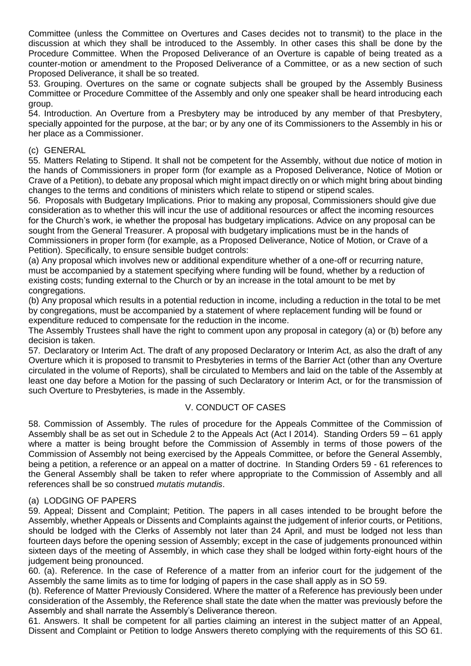Committee (unless the Committee on Overtures and Cases decides not to transmit) to the place in the discussion at which they shall be introduced to the Assembly. In other cases this shall be done by the Procedure Committee. When the Proposed Deliverance of an Overture is capable of being treated as a counter-motion or amendment to the Proposed Deliverance of a Committee, or as a new section of such Proposed Deliverance, it shall be so treated.

53. Grouping. Overtures on the same or cognate subjects shall be grouped by the Assembly Business Committee or Procedure Committee of the Assembly and only one speaker shall be heard introducing each group.

54. Introduction. An Overture from a Presbytery may be introduced by any member of that Presbytery, specially appointed for the purpose, at the bar; or by any one of its Commissioners to the Assembly in his or her place as a Commissioner.

#### (c) GENERAL

55. Matters Relating to Stipend. It shall not be competent for the Assembly, without due notice of motion in the hands of Commissioners in proper form (for example as a Proposed Deliverance, Notice of Motion or Crave of a Petition), to debate any proposal which might impact directly on or which might bring about binding changes to the terms and conditions of ministers which relate to stipend or stipend scales.

56. Proposals with Budgetary Implications. Prior to making any proposal, Commissioners should give due consideration as to whether this will incur the use of additional resources or affect the incoming resources for the Church's work, ie whether the proposal has budgetary implications. Advice on any proposal can be sought from the General Treasurer. A proposal with budgetary implications must be in the hands of Commissioners in proper form (for example, as a Proposed Deliverance, Notice of Motion, or Crave of a Petition). Specifically, to ensure sensible budget controls:

(a) Any proposal which involves new or additional expenditure whether of a one-off or recurring nature, must be accompanied by a statement specifying where funding will be found, whether by a reduction of existing costs; funding external to the Church or by an increase in the total amount to be met by congregations.

(b) Any proposal which results in a potential reduction in income, including a reduction in the total to be met by congregations, must be accompanied by a statement of where replacement funding will be found or expenditure reduced to compensate for the reduction in the income.

The Assembly Trustees shall have the right to comment upon any proposal in category (a) or (b) before any decision is taken.

57. Declaratory or Interim Act. The draft of any proposed Declaratory or Interim Act, as also the draft of any Overture which it is proposed to transmit to Presbyteries in terms of the Barrier Act (other than any Overture circulated in the volume of Reports), shall be circulated to Members and laid on the table of the Assembly at least one day before a Motion for the passing of such Declaratory or Interim Act, or for the transmission of such Overture to Presbyteries, is made in the Assembly.

# V. CONDUCT OF CASES

58. Commission of Assembly. The rules of procedure for the Appeals Committee of the Commission of Assembly shall be as set out in Schedule 2 to the Appeals Act (Act I 2014). Standing Orders 59 – 61 apply where a matter is being brought before the Commission of Assembly in terms of those powers of the Commission of Assembly not being exercised by the Appeals Committee, or before the General Assembly, being a petition, a reference or an appeal on a matter of doctrine. In Standing Orders 59 - 61 references to the General Assembly shall be taken to refer where appropriate to the Commission of Assembly and all references shall be so construed *mutatis mutandis*.

#### (a) LODGING OF PAPERS

59. Appeal; Dissent and Complaint; Petition. The papers in all cases intended to be brought before the Assembly, whether Appeals or Dissents and Complaints against the judgement of inferior courts, or Petitions, should be lodged with the Clerks of Assembly not later than 24 April, and must be lodged not less than fourteen days before the opening session of Assembly; except in the case of judgements pronounced within sixteen days of the meeting of Assembly, in which case they shall be lodged within forty-eight hours of the judgement being pronounced.

60. (a). Reference. In the case of Reference of a matter from an inferior court for the judgement of the Assembly the same limits as to time for lodging of papers in the case shall apply as in SO 59.

(b). Reference of Matter Previously Considered. Where the matter of a Reference has previously been under consideration of the Assembly, the Reference shall state the date when the matter was previously before the Assembly and shall narrate the Assembly's Deliverance thereon.

61. Answers. It shall be competent for all parties claiming an interest in the subject matter of an Appeal, Dissent and Complaint or Petition to lodge Answers thereto complying with the requirements of this SO 61.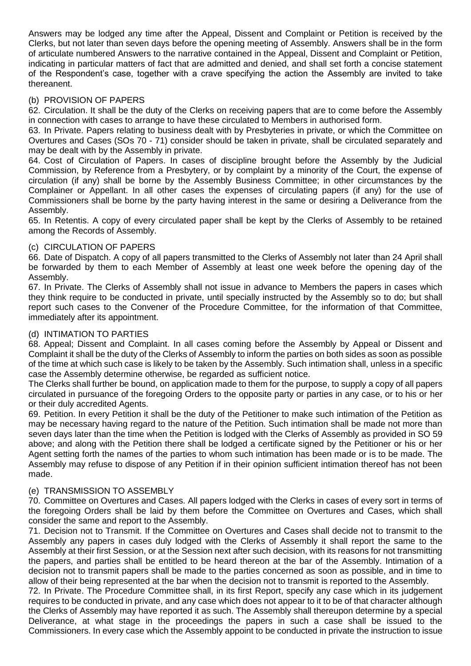Answers may be lodged any time after the Appeal, Dissent and Complaint or Petition is received by the Clerks, but not later than seven days before the opening meeting of Assembly. Answers shall be in the form of articulate numbered Answers to the narrative contained in the Appeal, Dissent and Complaint or Petition, indicating in particular matters of fact that are admitted and denied, and shall set forth a concise statement of the Respondent's case, together with a crave specifying the action the Assembly are invited to take thereanent.

## (b) PROVISION OF PAPERS

62. Circulation. It shall be the duty of the Clerks on receiving papers that are to come before the Assembly in connection with cases to arrange to have these circulated to Members in authorised form.

63. In Private. Papers relating to business dealt with by Presbyteries in private, or which the Committee on Overtures and Cases (SOs 70 - 71) consider should be taken in private, shall be circulated separately and may be dealt with by the Assembly in private.

64. Cost of Circulation of Papers. In cases of discipline brought before the Assembly by the Judicial Commission, by Reference from a Presbytery, or by complaint by a minority of the Court, the expense of circulation (if any) shall be borne by the Assembly Business Committee; in other circumstances by the Complainer or Appellant. In all other cases the expenses of circulating papers (if any) for the use of Commissioners shall be borne by the party having interest in the same or desiring a Deliverance from the Assembly.

65. In Retentis. A copy of every circulated paper shall be kept by the Clerks of Assembly to be retained among the Records of Assembly.

## (c) CIRCULATION OF PAPERS

66. Date of Dispatch. A copy of all papers transmitted to the Clerks of Assembly not later than 24 April shall be forwarded by them to each Member of Assembly at least one week before the opening day of the Assembly.

67. In Private. The Clerks of Assembly shall not issue in advance to Members the papers in cases which they think require to be conducted in private, until specially instructed by the Assembly so to do; but shall report such cases to the Convener of the Procedure Committee, for the information of that Committee, immediately after its appointment.

#### (d) INTIMATION TO PARTIES

68. Appeal; Dissent and Complaint. In all cases coming before the Assembly by Appeal or Dissent and Complaint it shall be the duty of the Clerks of Assembly to inform the parties on both sides as soon as possible of the time at which such case is likely to be taken by the Assembly. Such intimation shall, unless in a specific case the Assembly determine otherwise, be regarded as sufficient notice.

The Clerks shall further be bound, on application made to them for the purpose, to supply a copy of all papers circulated in pursuance of the foregoing Orders to the opposite party or parties in any case, or to his or her or their duly accredited Agents.

69. Petition. In every Petition it shall be the duty of the Petitioner to make such intimation of the Petition as may be necessary having regard to the nature of the Petition. Such intimation shall be made not more than seven days later than the time when the Petition is lodged with the Clerks of Assembly as provided in SO 59 above; and along with the Petition there shall be lodged a certificate signed by the Petitioner or his or her Agent setting forth the names of the parties to whom such intimation has been made or is to be made. The Assembly may refuse to dispose of any Petition if in their opinion sufficient intimation thereof has not been made.

#### (e) TRANSMISSION TO ASSEMBLY

70. Committee on Overtures and Cases. All papers lodged with the Clerks in cases of every sort in terms of the foregoing Orders shall be laid by them before the Committee on Overtures and Cases, which shall consider the same and report to the Assembly.

71. Decision not to Transmit. If the Committee on Overtures and Cases shall decide not to transmit to the Assembly any papers in cases duly lodged with the Clerks of Assembly it shall report the same to the Assembly at their first Session, or at the Session next after such decision, with its reasons for not transmitting the papers, and parties shall be entitled to be heard thereon at the bar of the Assembly. Intimation of a decision not to transmit papers shall be made to the parties concerned as soon as possible, and in time to allow of their being represented at the bar when the decision not to transmit is reported to the Assembly.

72. In Private. The Procedure Committee shall, in its first Report, specify any case which in its judgement requires to be conducted in private, and any case which does not appear to it to be of that character although the Clerks of Assembly may have reported it as such. The Assembly shall thereupon determine by a special Deliverance, at what stage in the proceedings the papers in such a case shall be issued to the Commissioners. In every case which the Assembly appoint to be conducted in private the instruction to issue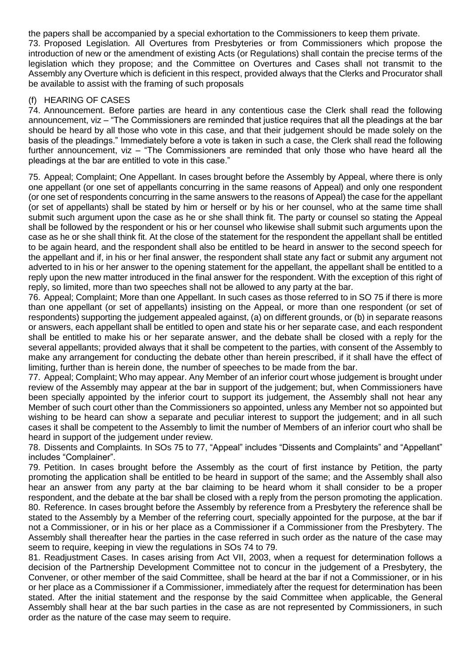the papers shall be accompanied by a special exhortation to the Commissioners to keep them private. 73. Proposed Legislation. All Overtures from Presbyteries or from Commissioners which propose the introduction of new or the amendment of existing Acts (or Regulations) shall contain the precise terms of the legislation which they propose; and the Committee on Overtures and Cases shall not transmit to the Assembly any Overture which is deficient in this respect, provided always that the Clerks and Procurator shall be available to assist with the framing of such proposals

# (f) HEARING OF CASES

74. Announcement. Before parties are heard in any contentious case the Clerk shall read the following announcement, viz – "The Commissioners are reminded that justice requires that all the pleadings at the bar should be heard by all those who vote in this case, and that their judgement should be made solely on the basis of the pleadings." Immediately before a vote is taken in such a case, the Clerk shall read the following further announcement, viz – "The Commissioners are reminded that only those who have heard all the pleadings at the bar are entitled to vote in this case."

75. Appeal; Complaint; One Appellant. In cases brought before the Assembly by Appeal, where there is only one appellant (or one set of appellants concurring in the same reasons of Appeal) and only one respondent (or one set of respondents concurring in the same answers to the reasons of Appeal) the case for the appellant (or set of appellants) shall be stated by him or herself or by his or her counsel, who at the same time shall submit such argument upon the case as he or she shall think fit. The party or counsel so stating the Appeal shall be followed by the respondent or his or her counsel who likewise shall submit such arguments upon the case as he or she shall think fit. At the close of the statement for the respondent the appellant shall be entitled to be again heard, and the respondent shall also be entitled to be heard in answer to the second speech for the appellant and if, in his or her final answer, the respondent shall state any fact or submit any argument not adverted to in his or her answer to the opening statement for the appellant, the appellant shall be entitled to a reply upon the new matter introduced in the final answer for the respondent. With the exception of this right of reply, so limited, more than two speeches shall not be allowed to any party at the bar.

76. Appeal; Complaint; More than one Appellant. In such cases as those referred to in SO 75 if there is more than one appellant (or set of appellants) insisting on the Appeal, or more than one respondent (or set of respondents) supporting the judgement appealed against, (a) on different grounds, or (b) in separate reasons or answers, each appellant shall be entitled to open and state his or her separate case, and each respondent shall be entitled to make his or her separate answer, and the debate shall be closed with a reply for the several appellants; provided always that it shall be competent to the parties, with consent of the Assembly to make any arrangement for conducting the debate other than herein prescribed, if it shall have the effect of limiting, further than is herein done, the number of speeches to be made from the bar.

77. Appeal; Complaint; Who may appear. Any Member of an inferior court whose judgement is brought under review of the Assembly may appear at the bar in support of the judgement; but, when Commissioners have been specially appointed by the inferior court to support its judgement, the Assembly shall not hear any Member of such court other than the Commissioners so appointed, unless any Member not so appointed but wishing to be heard can show a separate and peculiar interest to support the judgement; and in all such cases it shall be competent to the Assembly to limit the number of Members of an inferior court who shall be heard in support of the judgement under review.

78. Dissents and Complaints. In SOs 75 to 77, "Appeal" includes "Dissents and Complaints" and "Appellant" includes "Complainer".

79. Petition. In cases brought before the Assembly as the court of first instance by Petition, the party promoting the application shall be entitled to be heard in support of the same; and the Assembly shall also hear an answer from any party at the bar claiming to be heard whom it shall consider to be a proper respondent, and the debate at the bar shall be closed with a reply from the person promoting the application. 80. Reference. In cases brought before the Assembly by reference from a Presbytery the reference shall be stated to the Assembly by a Member of the referring court, specially appointed for the purpose, at the bar if not a Commissioner, or in his or her place as a Commissioner if a Commissioner from the Presbytery. The Assembly shall thereafter hear the parties in the case referred in such order as the nature of the case may seem to require, keeping in view the regulations in SOs 74 to 79.

81. Readjustment Cases. In cases arising from Act VII, 2003, when a request for determination follows a decision of the Partnership Development Committee not to concur in the judgement of a Presbytery, the Convener, or other member of the said Committee, shall be heard at the bar if not a Commissioner, or in his or her place as a Commissioner if a Commissioner, immediately after the request for determination has been stated. After the initial statement and the response by the said Committee when applicable, the General Assembly shall hear at the bar such parties in the case as are not represented by Commissioners, in such order as the nature of the case may seem to require.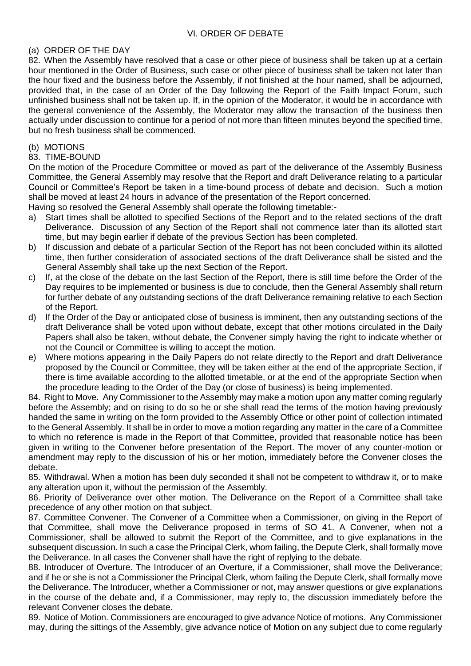## (a) ORDER OF THE DAY

82. When the Assembly have resolved that a case or other piece of business shall be taken up at a certain hour mentioned in the Order of Business, such case or other piece of business shall be taken not later than the hour fixed and the business before the Assembly, if not finished at the hour named, shall be adjourned, provided that, in the case of an Order of the Day following the Report of the Faith Impact Forum, such unfinished business shall not be taken up. If, in the opinion of the Moderator, it would be in accordance with the general convenience of the Assembly, the Moderator may allow the transaction of the business then actually under discussion to continue for a period of not more than fifteen minutes beyond the specified time, but no fresh business shall be commenced.

#### (b) MOTIONS

#### 83. TIME-BOUND

On the motion of the Procedure Committee or moved as part of the deliverance of the Assembly Business Committee, the General Assembly may resolve that the Report and draft Deliverance relating to a particular Council or Committee's Report be taken in a time-bound process of debate and decision. Such a motion shall be moved at least 24 hours in advance of the presentation of the Report concerned.

Having so resolved the General Assembly shall operate the following timetable:-

- a) Start times shall be allotted to specified Sections of the Report and to the related sections of the draft Deliverance. Discussion of any Section of the Report shall not commence later than its allotted start time, but may begin earlier if debate of the previous Section has been completed.
- b) If discussion and debate of a particular Section of the Report has not been concluded within its allotted time, then further consideration of associated sections of the draft Deliverance shall be sisted and the General Assembly shall take up the next Section of the Report.
- c) If, at the close of the debate on the last Section of the Report, there is still time before the Order of the Day requires to be implemented or business is due to conclude, then the General Assembly shall return for further debate of any outstanding sections of the draft Deliverance remaining relative to each Section of the Report.
- d) If the Order of the Day or anticipated close of business is imminent, then any outstanding sections of the draft Deliverance shall be voted upon without debate, except that other motions circulated in the Daily Papers shall also be taken, without debate, the Convener simply having the right to indicate whether or not the Council or Committee is willing to accept the motion.
- e) Where motions appearing in the Daily Papers do not relate directly to the Report and draft Deliverance proposed by the Council or Committee, they will be taken either at the end of the appropriate Section, if there is time available according to the allotted timetable, or at the end of the appropriate Section when the procedure leading to the Order of the Day (or close of business) is being implemented.

84. Right to Move. Any Commissioner to the Assembly may make a motion upon any matter coming regularly before the Assembly; and on rising to do so he or she shall read the terms of the motion having previously handed the same in writing on the form provided to the Assembly Office or other point of collection intimated to the General Assembly. It shall be in order to move a motion regarding any matter in the care of a Committee to which no reference is made in the Report of that Committee, provided that reasonable notice has been given in writing to the Convener before presentation of the Report. The mover of any counter-motion or amendment may reply to the discussion of his or her motion, immediately before the Convener closes the debate.

85. Withdrawal. When a motion has been duly seconded it shall not be competent to withdraw it, or to make any alteration upon it, without the permission of the Assembly.

86. Priority of Deliverance over other motion. The Deliverance on the Report of a Committee shall take precedence of any other motion on that subject.

87. Committee Convener. The Convener of a Committee when a Commissioner, on giving in the Report of that Committee, shall move the Deliverance proposed in terms of SO 41. A Convener, when not a Commissioner, shall be allowed to submit the Report of the Committee, and to give explanations in the subsequent discussion. In such a case the Principal Clerk, whom failing, the Depute Clerk, shall formally move the Deliverance. In all cases the Convener shall have the right of replying to the debate.

88. Introducer of Overture. The Introducer of an Overture, if a Commissioner, shall move the Deliverance; and if he or she is not a Commissioner the Principal Clerk, whom failing the Depute Clerk, shall formally move the Deliverance. The Introducer, whether a Commissioner or not, may answer questions or give explanations in the course of the debate and, if a Commissioner, may reply to, the discussion immediately before the relevant Convener closes the debate.

89. Notice of Motion. Commissioners are encouraged to give advance Notice of motions. Any Commissioner may, during the sittings of the Assembly, give advance notice of Motion on any subject due to come regularly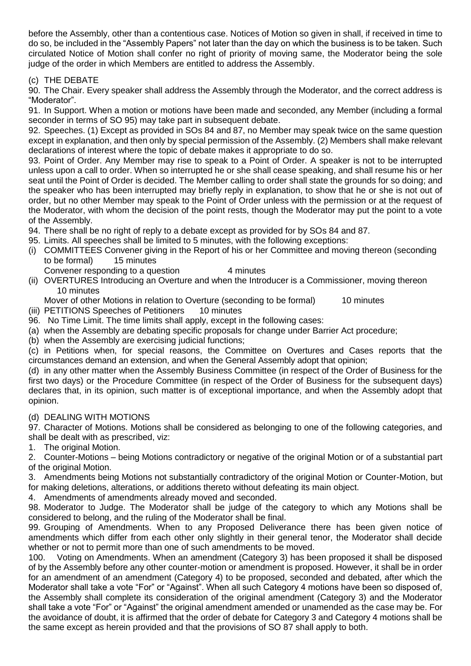before the Assembly, other than a contentious case. Notices of Motion so given in shall, if received in time to do so, be included in the "Assembly Papers" not later than the day on which the business is to be taken. Such circulated Notice of Motion shall confer no right of priority of moving same, the Moderator being the sole judge of the order in which Members are entitled to address the Assembly.

# (c) THE DEBATE

90. The Chair. Every speaker shall address the Assembly through the Moderator, and the correct address is "Moderator".

91. In Support. When a motion or motions have been made and seconded, any Member (including a formal seconder in terms of SO 95) may take part in subsequent debate.

92. Speeches. (1) Except as provided in SOs 84 and 87, no Member may speak twice on the same question except in explanation, and then only by special permission of the Assembly. (2) Members shall make relevant declarations of interest where the topic of debate makes it appropriate to do so.

93. Point of Order. Any Member may rise to speak to a Point of Order. A speaker is not to be interrupted unless upon a call to order. When so interrupted he or she shall cease speaking, and shall resume his or her seat until the Point of Order is decided. The Member calling to order shall state the grounds for so doing; and the speaker who has been interrupted may briefly reply in explanation, to show that he or she is not out of order, but no other Member may speak to the Point of Order unless with the permission or at the request of the Moderator, with whom the decision of the point rests, though the Moderator may put the point to a vote of the Assembly.

- 94. There shall be no right of reply to a debate except as provided for by SOs 84 and 87.
- 95. Limits. All speeches shall be limited to 5 minutes, with the following exceptions:
- (i) COMMITTEES Convener giving in the Report of his or her Committee and moving thereon (seconding to be formal) 15 minutes
- Convener responding to a question 4 minutes (ii) OVERTURES Introducing an Overture and when the Introducer is a Commissioner, moving thereon 10 minutes

Mover of other Motions in relation to Overture (seconding to be formal) 10 minutes

- (iii) PETITIONS Speeches of Petitioners 10 minutes
- 96. No Time Limit. The time limits shall apply, except in the following cases:
- (a) when the Assembly are debating specific proposals for change under Barrier Act procedure;
- (b) when the Assembly are exercising judicial functions;

(c) in Petitions when, for special reasons, the Committee on Overtures and Cases reports that the circumstances demand an extension, and when the General Assembly adopt that opinion;

(d) in any other matter when the Assembly Business Committee (in respect of the Order of Business for the first two days) or the Procedure Committee (in respect of the Order of Business for the subsequent days) declares that, in its opinion, such matter is of exceptional importance, and when the Assembly adopt that opinion.

#### (d) DEALING WITH MOTIONS

97. Character of Motions. Motions shall be considered as belonging to one of the following categories, and shall be dealt with as prescribed, viz:

1. The original Motion.

2. Counter-Motions – being Motions contradictory or negative of the original Motion or of a substantial part of the original Motion.

3. Amendments being Motions not substantially contradictory of the original Motion or Counter-Motion, but for making deletions, alterations, or additions thereto without defeating its main object.

4. Amendments of amendments already moved and seconded.

98. Moderator to Judge. The Moderator shall be judge of the category to which any Motions shall be considered to belong, and the ruling of the Moderator shall be final.

99. Grouping of Amendments. When to any Proposed Deliverance there has been given notice of amendments which differ from each other only slightly in their general tenor, the Moderator shall decide whether or not to permit more than one of such amendments to be moved.

100. Voting on Amendments. When an amendment (Category 3) has been proposed it shall be disposed of by the Assembly before any other counter-motion or amendment is proposed. However, it shall be in order for an amendment of an amendment (Category 4) to be proposed, seconded and debated, after which the Moderator shall take a vote "For" or "Against". When all such Category 4 motions have been so disposed of, the Assembly shall complete its consideration of the original amendment (Category 3) and the Moderator shall take a vote "For" or "Against" the original amendment amended or unamended as the case may be. For the avoidance of doubt, it is affirmed that the order of debate for Category 3 and Category 4 motions shall be the same except as herein provided and that the provisions of SO 87 shall apply to both.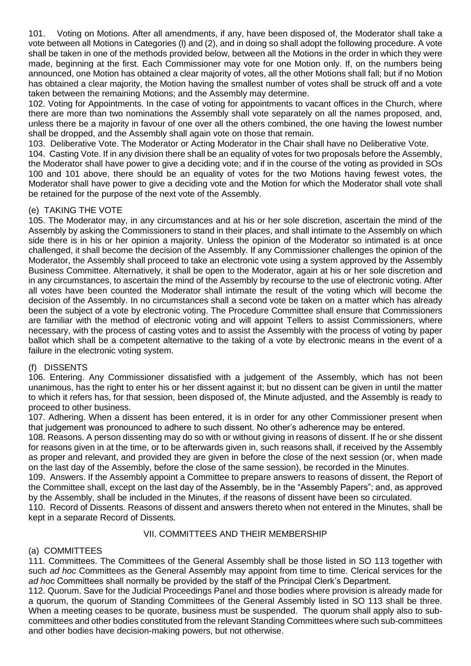101. Voting on Motions. After all amendments, if any, have been disposed of, the Moderator shall take a vote between all Motions in Categories (l) and (2), and in doing so shall adopt the following procedure. A vote shall be taken in one of the methods provided below, between all the Motions in the order in which they were made, beginning at the first. Each Commissioner may vote for one Motion only. If, on the numbers being announced, one Motion has obtained a clear majority of votes, all the other Motions shall fall; but if no Motion has obtained a clear majority, the Motion having the smallest number of votes shall be struck off and a vote taken between the remaining Motions; and the Assembly may determine.

102. Voting for Appointments. In the case of voting for appointments to vacant offices in the Church, where there are more than two nominations the Assembly shall vote separately on all the names proposed, and, unless there be a majority in favour of one over all the others combined, the one having the lowest number shall be dropped, and the Assembly shall again vote on those that remain.

103. Deliberative Vote. The Moderator or Acting Moderator in the Chair shall have no Deliberative Vote.

104. Casting Vote. If in any division there shall be an equality of votes for two proposals before the Assembly, the Moderator shall have power to give a deciding vote; and if in the course of the voting as provided in SOs 100 and 101 above, there should be an equality of votes for the two Motions having fewest votes, the Moderator shall have power to give a deciding vote and the Motion for which the Moderator shall vote shall be retained for the purpose of the next vote of the Assembly.

## (e) TAKING THE VOTE

105. The Moderator may, in any circumstances and at his or her sole discretion, ascertain the mind of the Assembly by asking the Commissioners to stand in their places, and shall intimate to the Assembly on which side there is in his or her opinion a majority. Unless the opinion of the Moderator so intimated is at once challenged, it shall become the decision of the Assembly. If any Commissioner challenges the opinion of the Moderator, the Assembly shall proceed to take an electronic vote using a system approved by the Assembly Business Committee. Alternatively, it shall be open to the Moderator, again at his or her sole discretion and in any circumstances, to ascertain the mind of the Assembly by recourse to the use of electronic voting. After all votes have been counted the Moderator shall intimate the result of the voting which will become the decision of the Assembly. In no circumstances shall a second vote be taken on a matter which has already been the subject of a vote by electronic voting. The Procedure Committee shall ensure that Commissioners are familiar with the method of electronic voting and will appoint Tellers to assist Commissioners, where necessary, with the process of casting votes and to assist the Assembly with the process of voting by paper ballot which shall be a competent alternative to the taking of a vote by electronic means in the event of a failure in the electronic voting system.

#### (f) DISSENTS

106. Entering. Any Commissioner dissatisfied with a judgement of the Assembly, which has not been unanimous, has the right to enter his or her dissent against it; but no dissent can be given in until the matter to which it refers has, for that session, been disposed of, the Minute adjusted, and the Assembly is ready to proceed to other business.

107. Adhering. When a dissent has been entered, it is in order for any other Commissioner present when that judgement was pronounced to adhere to such dissent. No other's adherence may be entered.

108. Reasons. A person dissenting may do so with or without giving in reasons of dissent. If he or she dissent for reasons given in at the time, or to be afterwards given in, such reasons shall, if received by the Assembly as proper and relevant, and provided they are given in before the close of the next session (or, when made on the last day of the Assembly, before the close of the same session), be recorded in the Minutes.

109. Answers. If the Assembly appoint a Committee to prepare answers to reasons of dissent, the Report of the Committee shall, except on the last day of the Assembly, be in the "Assembly Papers"; and, as approved by the Assembly, shall be included in the Minutes, if the reasons of dissent have been so circulated.

110. Record of Dissents. Reasons of dissent and answers thereto when not entered in the Minutes, shall be kept in a separate Record of Dissents.

#### VII. COMMITTEES AND THEIR MEMBERSHIP

# (a) COMMITTEES

111. Committees. The Committees of the General Assembly shall be those listed in SO 113 together with such *ad hoc* Committees as the General Assembly may appoint from time to time. Clerical services for the *ad ho*c Committees shall normally be provided by the staff of the Principal Clerk's Department.

112. Quorum. Save for the Judicial Proceedings Panel and those bodies where provision is already made for a quorum, the quorum of Standing Committees of the General Assembly listed in SO 113 shall be three. When a meeting ceases to be quorate, business must be suspended. The quorum shall apply also to subcommittees and other bodies constituted from the relevant Standing Committees where such sub-committees and other bodies have decision-making powers, but not otherwise.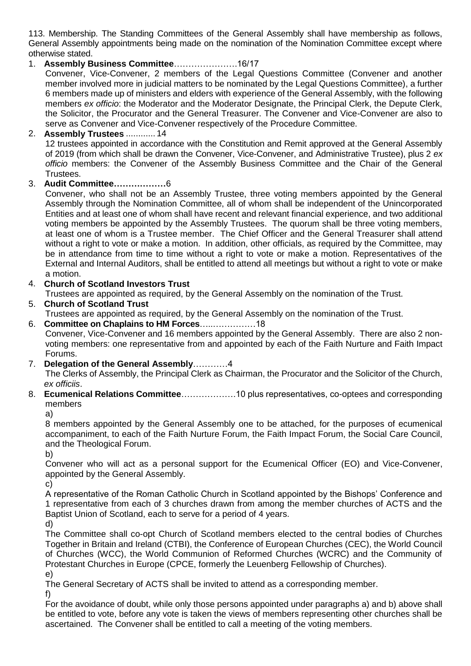113. Membership. The Standing Committees of the General Assembly shall have membership as follows, General Assembly appointments being made on the nomination of the Nomination Committee except where otherwise stated.

# 1. **Assembly Business Committee**………………….16/17

Convener, Vice-Convener, 2 members of the Legal Questions Committee (Convener and another member involved more in judicial matters to be nominated by the Legal Questions Committee), a further 6 members made up of ministers and elders with experience of the General Assembly, with the following members *ex officio*: the Moderator and the Moderator Designate, the Principal Clerk, the Depute Clerk, the Solicitor, the Procurator and the General Treasurer. The Convener and Vice-Convener are also to serve as Convener and Vice-Convener respectively of the Procedure Committee.

## 2. **Assembly Trustees** ............ 14

12 trustees appointed in accordance with the Constitution and Remit approved at the General Assembly of 2019 (from which shall be drawn the Convener, Vice-Convener, and Administrative Trustee), plus 2 *ex officio* members: the Convener of the Assembly Business Committee and the Chair of the General Trustees.

## 3. **Audit Committee………………**6

Convener, who shall not be an Assembly Trustee, three voting members appointed by the General Assembly through the Nomination Committee, all of whom shall be independent of the Unincorporated Entities and at least one of whom shall have recent and relevant financial experience, and two additional voting members be appointed by the Assembly Trustees. The quorum shall be three voting members, at least one of whom is a Trustee member. The Chief Officer and the General Treasurer shall attend without a right to vote or make a motion. In addition, other officials, as required by the Committee, may be in attendance from time to time without a right to vote or make a motion. Representatives of the External and Internal Auditors, shall be entitled to attend all meetings but without a right to vote or make a motion.

# 4. **Church of Scotland Investors Trust**

Trustees are appointed as required, by the General Assembly on the nomination of the Trust.

- 5. **Church of Scotland Trust** Trustees are appointed as required, by the General Assembly on the nomination of the Trust.
- 6. **Committee on Chaplains to HM Forces**…..……………18 Convener, Vice-Convener and 16 members appointed by the General Assembly. There are also 2 nonvoting members: one representative from and appointed by each of the Faith Nurture and Faith Impact Forums.
- 7. **Delegation of the General Assembly**…………4

The Clerks of Assembly, the Principal Clerk as Chairman, the Procurator and the Solicitor of the Church, *ex officiis*.

8. **Ecumenical Relations Committee**……………….10 plus representatives, co-optees and corresponding members

a)

8 members appointed by the General Assembly one to be attached, for the purposes of ecumenical accompaniment, to each of the Faith Nurture Forum, the Faith Impact Forum, the Social Care Council, and the Theological Forum.

b)

Convener who will act as a personal support for the Ecumenical Officer (EO) and Vice-Convener, appointed by the General Assembly.

c)

A representative of the Roman Catholic Church in Scotland appointed by the Bishops' Conference and 1 representative from each of 3 churches drawn from among the member churches of ACTS and the Baptist Union of Scotland, each to serve for a period of 4 years.

d)

The Committee shall co-opt Church of Scotland members elected to the central bodies of Churches Together in Britain and Ireland (CTBI), the Conference of European Churches (CEC), the World Council of Churches (WCC), the World Communion of Reformed Churches (WCRC) and the Community of Protestant Churches in Europe (CPCE, formerly the Leuenberg Fellowship of Churches).

e)

The General Secretary of ACTS shall be invited to attend as a corresponding member.

f)

For the avoidance of doubt, while only those persons appointed under paragraphs a) and b) above shall be entitled to vote, before any vote is taken the views of members representing other churches shall be ascertained. The Convener shall be entitled to call a meeting of the voting members.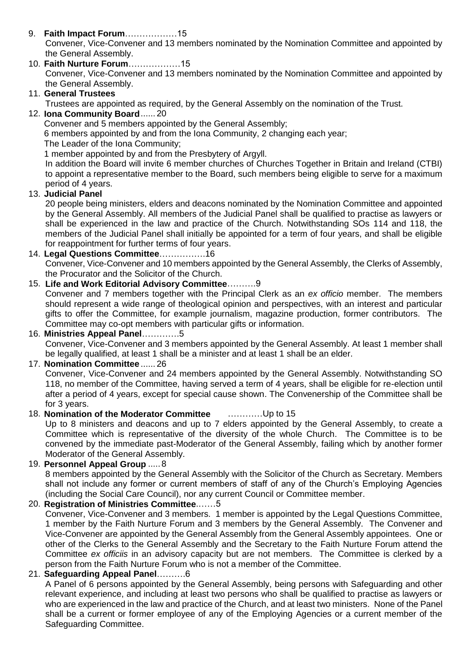- 9. **Faith Impact Forum**………………15 Convener, Vice-Convener and 13 members nominated by the Nomination Committee and appointed by the General Assembly.
- 10. **Faith Nurture Forum**………………15 Convener, Vice-Convener and 13 members nominated by the Nomination Committee and appointed by the General Assembly.

# 11. **General Trustees**

Trustees are appointed as required, by the General Assembly on the nomination of the Trust.

# 12. **Iona Community Board**...... 20

Convener and 5 members appointed by the General Assembly;

6 members appointed by and from the Iona Community, 2 changing each year;

The Leader of the Iona Community;

1 member appointed by and from the Presbytery of Argyll.

In addition the Board will invite 6 member churches of Churches Together in Britain and Ireland (CTBI) to appoint a representative member to the Board, such members being eligible to serve for a maximum period of 4 years.

# 13. **Judicial Panel**

20 people being ministers, elders and deacons nominated by the Nomination Committee and appointed by the General Assembly. All members of the Judicial Panel shall be qualified to practise as lawyers or shall be experienced in the law and practice of the Church. Notwithstanding SOs 114 and 118, the members of the Judicial Panel shall initially be appointed for a term of four years, and shall be eligible for reappointment for further terms of four years.

# 14. **Legal Questions Committee**…………….16

Convener, Vice-Convener and 10 members appointed by the General Assembly, the Clerks of Assembly, the Procurator and the Solicitor of the Church.

## 15. **Life and Work Editorial Advisory Committee**……….9

Convener and 7 members together with the Principal Clerk as an *ex officio* member. The members should represent a wide range of theological opinion and perspectives, with an interest and particular gifts to offer the Committee, for example journalism, magazine production, former contributors. The Committee may co-opt members with particular gifts or information.

## 16. **Ministries Appeal Panel**………….5

Convener, Vice-Convener and 3 members appointed by the General Assembly. At least 1 member shall be legally qualified, at least 1 shall be a minister and at least 1 shall be an elder.

# 17. **Nomination Committee** ...... 26

Convener, Vice-Convener and 24 members appointed by the General Assembly. Notwithstanding SO 118, no member of the Committee, having served a term of 4 years, shall be eligible for re-election until after a period of 4 years, except for special cause shown. The Convenership of the Committee shall be for 3 years.

# 18. **Nomination of the Moderator Committee** …………Up to 15

Up to 8 ministers and deacons and up to 7 elders appointed by the General Assembly, to create a Committee which is representative of the diversity of the whole Church. The Committee is to be convened by the immediate past-Moderator of the General Assembly, failing which by another former Moderator of the General Assembly.

#### 19. **Personnel Appeal Group** .....8

8 members appointed by the General Assembly with the Solicitor of the Church as Secretary. Members shall not include any former or current members of staff of any of the Church's Employing Agencies (including the Social Care Council), nor any current Council or Committee member.

# 20. **Registration of Ministries Committee**.……5

Convener, Vice-Convener and 3 members. 1 member is appointed by the Legal Questions Committee, 1 member by the Faith Nurture Forum and 3 members by the General Assembly. The Convener and Vice-Convener are appointed by the General Assembly from the General Assembly appointees. One or other of the Clerks to the General Assembly and the Secretary to the Faith Nurture Forum attend the Committee *ex officiis* in an advisory capacity but are not members. The Committee is clerked by a person from the Faith Nurture Forum who is not a member of the Committee.

# 21. **Safeguarding Appeal Panel**……….6

A Panel of 6 persons appointed by the General Assembly, being persons with Safeguarding and other relevant experience, and including at least two persons who shall be qualified to practise as lawyers or who are experienced in the law and practice of the Church, and at least two ministers. None of the Panel shall be a current or former employee of any of the Employing Agencies or a current member of the Safeguarding Committee.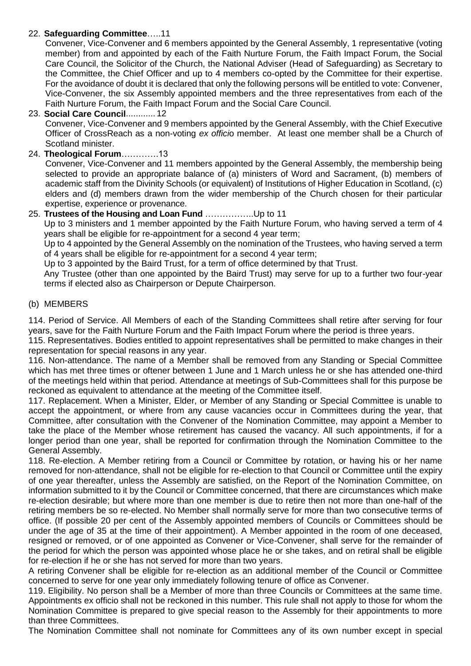# 22. **Safeguarding Committee**…..11

Convener, Vice-Convener and 6 members appointed by the General Assembly, 1 representative (voting member) from and appointed by each of the Faith Nurture Forum, the Faith Impact Forum, the Social Care Council, the Solicitor of the Church, the National Adviser (Head of Safeguarding) as Secretary to the Committee, the Chief Officer and up to 4 members co-opted by the Committee for their expertise. For the avoidance of doubt it is declared that only the following persons will be entitled to vote: Convener, Vice-Convener, the six Assembly appointed members and the three representatives from each of the Faith Nurture Forum, the Faith Impact Forum and the Social Care Council.

# 23. **Social Care Council**............ 12

Convener, Vice-Convener and 9 members appointed by the General Assembly, with the Chief Executive Officer of CrossReach as a non-voting *ex offici*o member. At least one member shall be a Church of Scotland minister.

# 24. **Theological Forum**………….13

Convener, Vice-Convener and 11 members appointed by the General Assembly, the membership being selected to provide an appropriate balance of (a) ministers of Word and Sacrament, (b) members of academic staff from the Divinity Schools (or equivalent) of Institutions of Higher Education in Scotland, (c) elders and (d) members drawn from the wider membership of the Church chosen for their particular expertise, experience or provenance.

# 25. **Trustees of the Housing and Loan Fund** ……………..Up to 11

Up to 3 ministers and 1 member appointed by the Faith Nurture Forum, who having served a term of 4 years shall be eligible for re-appointment for a second 4 year term;

Up to 4 appointed by the General Assembly on the nomination of the Trustees, who having served a term of 4 years shall be eligible for re-appointment for a second 4 year term;

Up to 3 appointed by the Baird Trust, for a term of office determined by that Trust.

Any Trustee (other than one appointed by the Baird Trust) may serve for up to a further two four-year terms if elected also as Chairperson or Depute Chairperson.

## (b) MEMBERS

114. Period of Service. All Members of each of the Standing Committees shall retire after serving for four years, save for the Faith Nurture Forum and the Faith Impact Forum where the period is three years.

115. Representatives. Bodies entitled to appoint representatives shall be permitted to make changes in their representation for special reasons in any year.

116. Non-attendance. The name of a Member shall be removed from any Standing or Special Committee which has met three times or oftener between 1 June and 1 March unless he or she has attended one-third of the meetings held within that period. Attendance at meetings of Sub-Committees shall for this purpose be reckoned as equivalent to attendance at the meeting of the Committee itself.

117. Replacement. When a Minister, Elder, or Member of any Standing or Special Committee is unable to accept the appointment, or where from any cause vacancies occur in Committees during the year, that Committee, after consultation with the Convener of the Nomination Committee, may appoint a Member to take the place of the Member whose retirement has caused the vacancy. All such appointments, if for a longer period than one year, shall be reported for confirmation through the Nomination Committee to the General Assembly.

118. Re-election. A Member retiring from a Council or Committee by rotation, or having his or her name removed for non-attendance, shall not be eligible for re-election to that Council or Committee until the expiry of one year thereafter, unless the Assembly are satisfied, on the Report of the Nomination Committee, on information submitted to it by the Council or Committee concerned, that there are circumstances which make re-election desirable; but where more than one member is due to retire then not more than one-half of the retiring members be so re-elected. No Member shall normally serve for more than two consecutive terms of office. (If possible 20 per cent of the Assembly appointed members of Councils or Committees should be under the age of 35 at the time of their appointment). A Member appointed in the room of one deceased, resigned or removed, or of one appointed as Convener or Vice-Convener, shall serve for the remainder of the period for which the person was appointed whose place he or she takes, and on retiral shall be eligible for re-election if he or she has not served for more than two years.

A retiring Convener shall be eligible for re-election as an additional member of the Council or Committee concerned to serve for one year only immediately following tenure of office as Convener.

119. Eligibility. No person shall be a Member of more than three Councils or Committees at the same time. Appointments ex officio shall not be reckoned in this number. This rule shall not apply to those for whom the Nomination Committee is prepared to give special reason to the Assembly for their appointments to more than three Committees.

The Nomination Committee shall not nominate for Committees any of its own number except in special